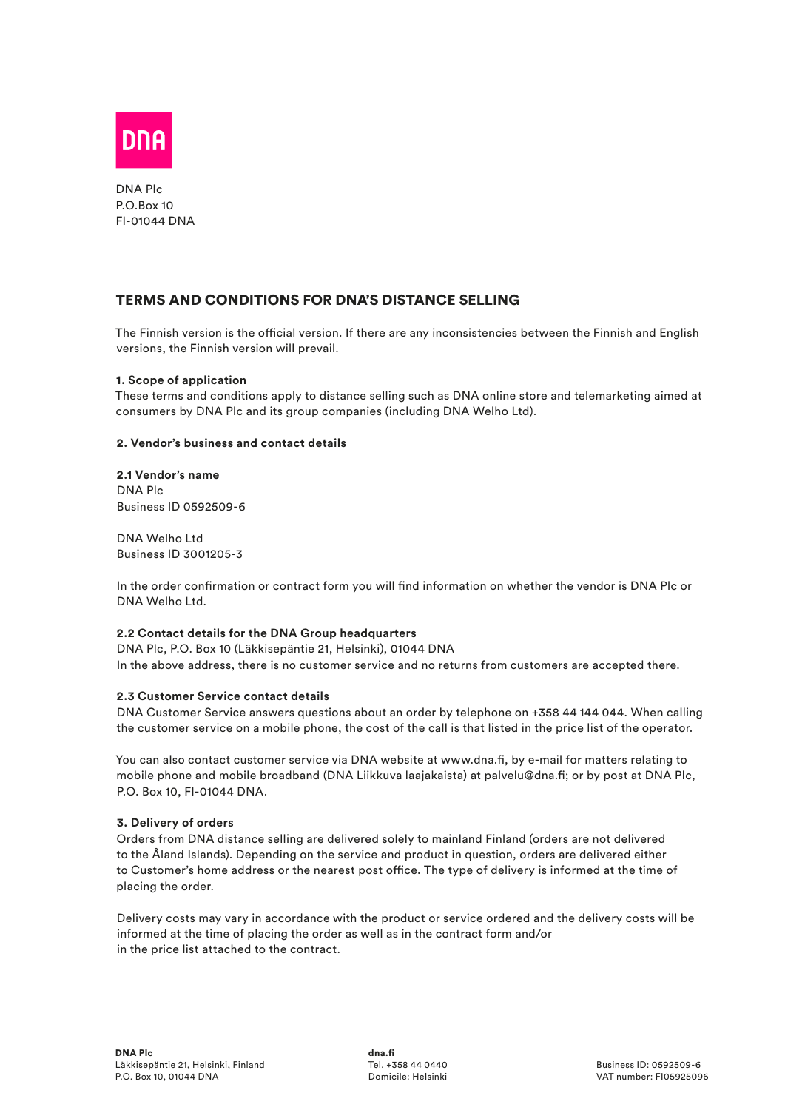

DNA Plc P.O.Box 10 FI-01044 DNA

# TERMS AND CONDITIONS FOR DNA'S DISTANCE SELLING

The Finnish version is the official version. If there are any inconsistencies between the Finnish and English versions, the Finnish version will prevail.

## **1. Scope of application**

These terms and conditions apply to distance selling such as DNA online store and telemarketing aimed at consumers by DNA Plc and its group companies (including DNA Welho Ltd).

## **2. Vendor's business and contact details**

**2.1 Vendor's name** DNA Plc Business ID 0592509-6

DNA Welho Ltd Business ID 3001205-3

In the order confirmation or contract form you will find information on whether the vendor is DNA Plc or DNA Welho Ltd.

## **2.2 Contact details for the DNA Group headquarters**

DNA Plc, P.O. Box 10 (Läkkisepäntie 21, Helsinki), 01044 DNA In the above address, there is no customer service and no returns from customers are accepted there.

## **2.3 Customer Service contact details**

DNA Customer Service answers questions about an order by telephone on +358 44 144 044. When calling the customer service on a mobile phone, the cost of the call is that listed in the price list of the operator.

You can also contact customer service via DNA website at www.dna.fi, by e-mail for matters relating to mobile phone and mobile broadband (DNA Liikkuva laajakaista) at palvelu@dna.fi; or by post at DNA Plc, P.O. Box 10, FI-01044 DNA.

## **3. Delivery of orders**

Orders from DNA distance selling are delivered solely to mainland Finland (orders are not delivered to the Åland Islands). Depending on the service and product in question, orders are delivered either to Customer's home address or the nearest post office. The type of delivery is informed at the time of placing the order.

Delivery costs may vary in accordance with the product or service ordered and the delivery costs will be informed at the time of placing the order as well as in the contract form and/or in the price list attached to the contract.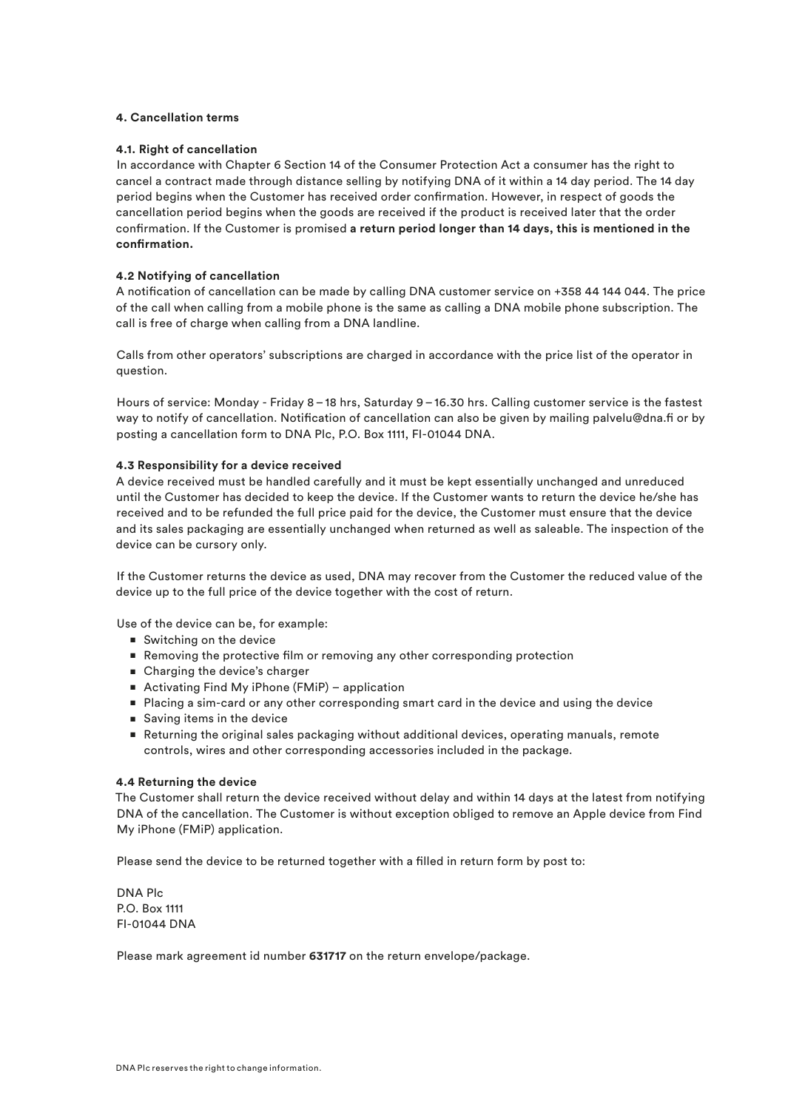### **4. Cancellation terms**

### **4.1. Right of cancellation**

In accordance with Chapter 6 Section 14 of the Consumer Protection Act a consumer has the right to cancel a contract made through distance selling by notifying DNA of it within a 14 day period. The 14 day period begins when the Customer has received order confirmation. However, in respect of goods the cancellation period begins when the goods are received if the product is received later that the order confirmation. If the Customer is promised **a return period longer than 14 days, this is mentioned in the confirmation.**

## **4.2 Notifying of cancellation**

A notification of cancellation can be made by calling DNA customer service on +358 44 144 044. The price of the call when calling from a mobile phone is the same as calling a DNA mobile phone subscription. The call is free of charge when calling from a DNA landline.

Calls from other operators' subscriptions are charged in accordance with the price list of the operator in question.

Hours of service: Monday - Friday 8–18 hrs, Saturday 9–16.30 hrs. Calling customer service is the fastest way to notify of cancellation. Notification of cancellation can also be given by mailing palvelu@dna.fi or by posting a cancellation form to DNA Plc, P.O. Box 1111, FI-01044 DNA.

### **4.3 Responsibility for a device received**

A device received must be handled carefully and it must be kept essentially unchanged and unreduced until the Customer has decided to keep the device. If the Customer wants to return the device he/she has received and to be refunded the full price paid for the device, the Customer must ensure that the device and its sales packaging are essentially unchanged when returned as well as saleable. The inspection of the device can be cursory only.

If the Customer returns the device as used, DNA may recover from the Customer the reduced value of the device up to the full price of the device together with the cost of return.

Use of the device can be, for example:

- Switching on the device
- Removing the protective film or removing any other corresponding protection
- Charging the device's charger
- Activating Find My iPhone (FMiP) application
- Placing a sim-card or any other corresponding smart card in the device and using the device
- Saving items in the device
- Returning the original sales packaging without additional devices, operating manuals, remote controls, wires and other corresponding accessories included in the package.

#### **4.4 Returning the device**

The Customer shall return the device received without delay and within 14 days at the latest from notifying DNA of the cancellation. The Customer is without exception obliged to remove an Apple device from Find My iPhone (FMiP) application.

Please send the device to be returned together with a filled in return form by post to:

DNA Plc P.O. Box 1111 FI-01044 DNA

Please mark agreement id number **631717** on the return envelope/package.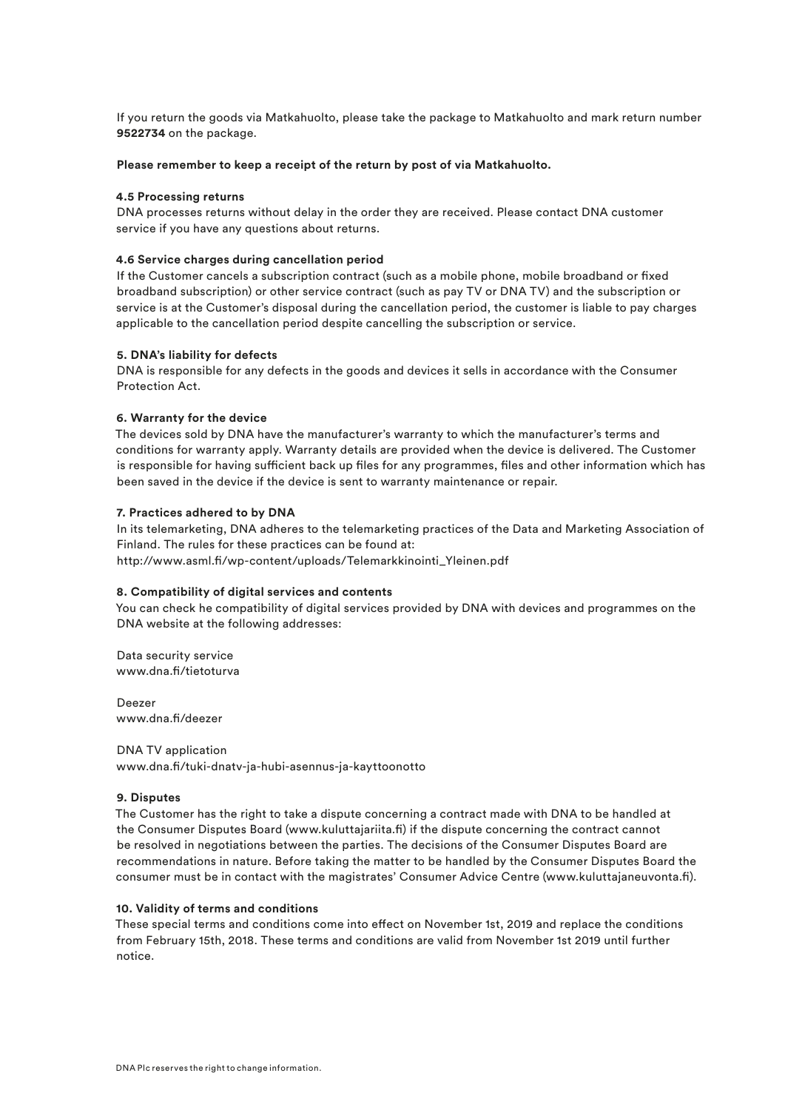If you return the goods via Matkahuolto, please take the package to Matkahuolto and mark return number **9522734** on the package.

#### **Please remember to keep a receipt of the return by post of via Matkahuolto.**

#### **4.5 Processing returns**

DNA processes returns without delay in the order they are received. Please contact DNA customer service if you have any questions about returns.

#### **4.6 Service charges during cancellation period**

If the Customer cancels a subscription contract (such as a mobile phone, mobile broadband or fixed broadband subscription) or other service contract (such as pay TV or DNA TV) and the subscription or service is at the Customer's disposal during the cancellation period, the customer is liable to pay charges applicable to the cancellation period despite cancelling the subscription or service.

#### **5. DNA's liability for defects**

DNA is responsible for any defects in the goods and devices it sells in accordance with the Consumer Protection Act.

### **6. Warranty for the device**

The devices sold by DNA have the manufacturer's warranty to which the manufacturer's terms and conditions for warranty apply. Warranty details are provided when the device is delivered. The Customer is responsible for having sufficient back up files for any programmes, files and other information which has been saved in the device if the device is sent to warranty maintenance or repair.

#### **7. Practices adhered to by DNA**

In its telemarketing, DNA adheres to the telemarketing practices of the Data and Marketing Association of Finland. The rules for these practices can be found at: http://www.asml.fi/wp-content/uploads/Telemarkkinointi\_Yleinen.pdf

#### **8. Compatibility of digital services and contents**

You can check he compatibility of digital services provided by DNA with devices and programmes on the DNA website at the following addresses:

Data security service www.dna.fi/tietoturva

Deezer www.dna.fi/deezer

DNA TV application www.dna.fi/tuki-dnatv-ja-hubi-asennus-ja-kayttoonotto

#### **9. Disputes**

The Customer has the right to take a dispute concerning a contract made with DNA to be handled at the Consumer Disputes Board (www.kuluttajariita.fi) if the dispute concerning the contract cannot be resolved in negotiations between the parties. The decisions of the Consumer Disputes Board are recommendations in nature. Before taking the matter to be handled by the Consumer Disputes Board the consumer must be in contact with the magistrates' Consumer Advice Centre (www.kuluttajaneuvonta.fi).

#### **10. Validity of terms and conditions**

These special terms and conditions come into effect on November 1st, 2019 and replace the conditions from February 15th, 2018. These terms and conditions are valid from November 1st 2019 until further notice.